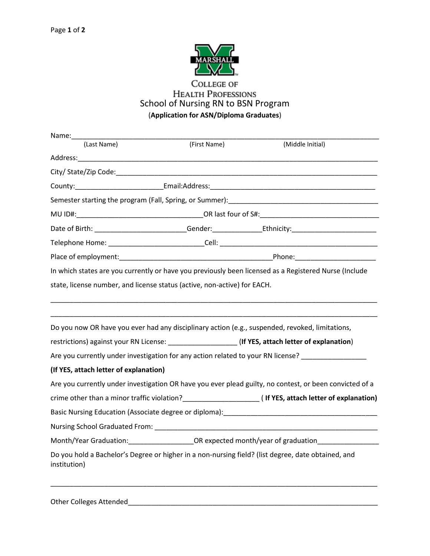

## **COLLEGE OF HEALTH PROFESSIONS** School of Nursing RN to BSN Program (**Application for ASN/Diploma Graduates**)

| Name:                                                                    |              |                                                                                                                |
|--------------------------------------------------------------------------|--------------|----------------------------------------------------------------------------------------------------------------|
| (Last Name)                                                              | (First Name) | (Middle Initial)                                                                                               |
|                                                                          |              |                                                                                                                |
|                                                                          |              |                                                                                                                |
|                                                                          |              |                                                                                                                |
|                                                                          |              |                                                                                                                |
|                                                                          |              |                                                                                                                |
|                                                                          |              | Date of Birth: ___________________________Gender: ___________________Ethnicity: _________________________      |
|                                                                          |              |                                                                                                                |
|                                                                          |              |                                                                                                                |
|                                                                          |              | In which states are you currently or have you previously been licensed as a Registered Nurse (Include          |
| state, license number, and license status (active, non-active) for EACH. |              |                                                                                                                |
|                                                                          |              |                                                                                                                |
|                                                                          |              | Do you now OR have you ever had any disciplinary action (e.g., suspended, revoked, limitations,                |
|                                                                          |              | restrictions) against your RN License: _____________________(If YES, attach letter of explanation)             |
|                                                                          |              | Are you currently under investigation for any action related to your RN license?                               |
| (If YES, attach letter of explanation)                                   |              |                                                                                                                |
|                                                                          |              | Are you currently under investigation OR have you ever plead guilty, no contest, or been convicted of a        |
|                                                                          |              | crime other than a minor traffic violation?<br><u> Letter</u> of explanation)                                  |
|                                                                          |              | Basic Nursing Education (Associate degree or diploma): National Section 2012 and 2014 and 2014 and 2014 and 20 |
|                                                                          |              |                                                                                                                |
|                                                                          |              | Month/Year Graduation:_______________________OR expected month/year of graduation___________________           |
| institution)                                                             |              | Do you hold a Bachelor's Degree or higher in a non-nursing field? (list degree, date obtained, and             |
|                                                                          |              |                                                                                                                |

Other Colleges Attended\_\_\_\_\_\_\_\_\_\_\_\_\_\_\_\_\_\_\_\_\_\_\_\_\_\_\_\_\_\_\_\_\_\_\_\_\_\_\_\_\_\_\_\_\_\_\_\_\_\_\_\_\_\_\_\_\_\_\_\_\_\_\_\_\_